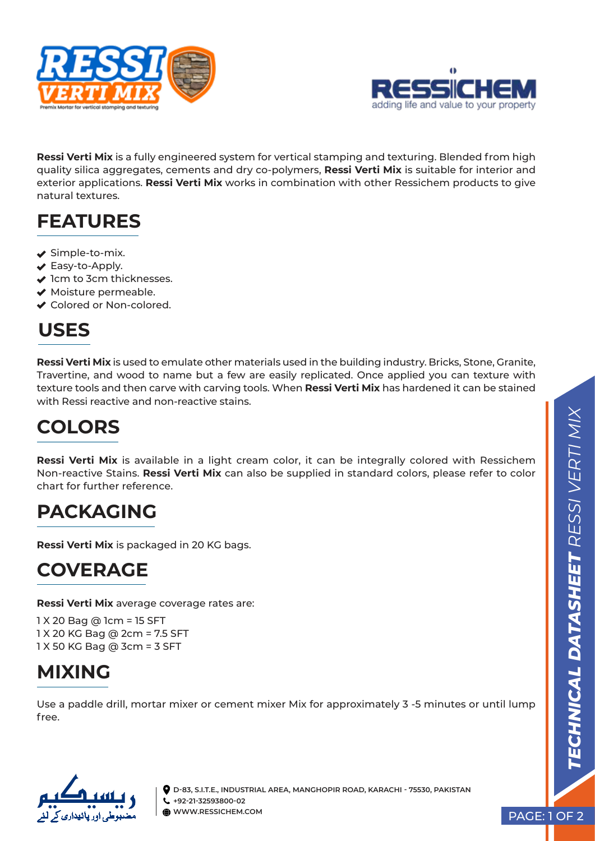



**Ressi Verti Mix** is a fully engineered system for vertical stamping and texturing. Blended from high quality silica aggregates, cements and dry co-polymers, **Ressi Verti Mix** is suitable for interior and exterior applications. **Ressi Verti Mix** works in combination with other Ressichem products to give natural textures.

## **FEATURES**

- $\blacktriangleright$  Simple-to-mix.
- ◆ Easy-to-Apply.
- $\blacktriangleright$  1cm to 3cm thicknesses.
- ◆ Moisture permeable.
- ◆ Colored or Non-colored.

## **USES**

**Ressi Verti Mix** is used to emulate other materials used in the building industry. Bricks, Stone, Granite, Travertine, and wood to name but a few are easily replicated. Once applied you can texture with texture tools and then carve with carving tools. When **Ressi Verti Mix** has hardened it can be stained with Ressi reactive and non-reactive stains.

# **COLORS**

**Ressi Verti Mix** is available in a light cream color, it can be integrally colored with Ressichem Non-reactive Stains. **Ressi Verti Mix** can also be supplied in standard colors, please refer to color chart for further reference.

### **PACKAGING**

**Ressi Verti Mix** is packaged in 20 KG bags.

### **COVERAGE**

**Ressi Verti Mix** average coverage rates are:

1 X 20 Bag @ 1cm = 15 SFT 1 X 20 KG Bag @ 2cm = 7.5 SFT 1 X 50 KG Bag @ 3cm = 3 SFT

## **MIXING**

Use a paddle drill, mortar mixer or cement mixer Mix for approximately 3 -5 minutes or until lump free.



**D-83, S.I.T.E., INDUSTRIAL AREA, MANGHOPIR ROAD, KARACHI - 75530, PAKISTAN +92-21-32593800-02 WWW.RESSICHEM.COM**

PAGE: 1 OF 2